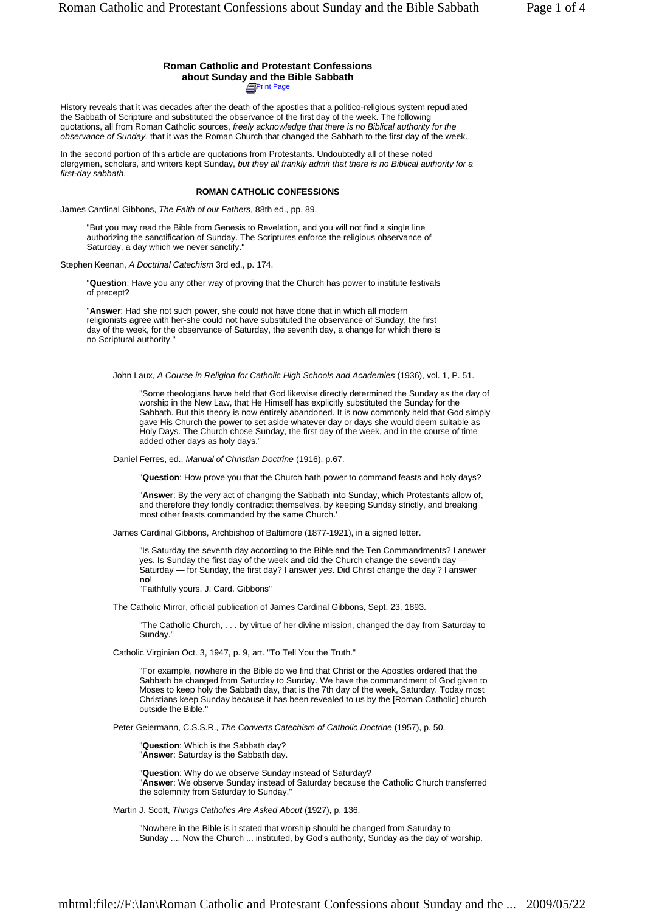# **Roman Catholic and Protestant Confessions about Sunday and the Bible Sabbath Print Page**

History reveals that it was decades after the death of the apostles that a politico-religious system repudiated the Sabbath of Scripture and substituted the observance of the first day of the week. The following quotations, all from Roman Catholic sources, *freely acknowledge that there is no Biblical authority for the observance of Sunday*, that it was the Roman Church that changed the Sabbath to the first day of the week.

In the second portion of this article are quotations from Protestants. Undoubtedly all of these noted clergymen, scholars, and writers kept Sunday, *but they all frankly admit that there is no Biblical authority for a first-day sabbath*.

### **ROMAN CATHOLIC CONFESSIONS**

James Cardinal Gibbons, *The Faith of our Fathers*, 88th ed., pp. 89.

"But you may read the Bible from Genesis to Revelation, and you will not find a single line authorizing the sanctification of Sunday. The Scriptures enforce the religious observance of Saturday, a day which we never sanctify.

Stephen Keenan, *A Doctrinal Catechism* 3rd ed., p. 174.

"**Question**: Have you any other way of proving that the Church has power to institute festivals of precept?

"**Answer**: Had she not such power, she could not have done that in which all modern religionists agree with her-she could not have substituted the observance of Sunday, the first day of the week, for the observance of Saturday, the seventh day, a change for which there is no Scriptural authority."

John Laux, *A Course in Religion for Catholic High Schools and Academies* (1936), vol. 1, P. 51.

"Some theologians have held that God likewise directly determined the Sunday as the day of worship in the New Law, that He Himself has explicitly substituted the Sunday for the Sabbath. But this theory is now entirely abandoned. It is now commonly held that God simply gave His Church the power to set aside whatever day or days she would deem suitable as Holy Days. The Church chose Sunday, the first day of the week, and in the course of time added other days as holy days.

Daniel Ferres, ed., *Manual of Christian Doctrine* (1916), p.67.

"**Question**: How prove you that the Church hath power to command feasts and holy days?

"**Answer**: By the very act of changing the Sabbath into Sunday, which Protestants allow of, and therefore they fondly contradict themselves, by keeping Sunday strictly, and breaking most other feasts commanded by the same Church.'

James Cardinal Gibbons, Archbishop of Baltimore (1877-1921), in a signed letter.

"Is Saturday the seventh day according to the Bible and the Ten Commandments? I answer yes. Is Sunday the first day of the week and did the Church change the seventh day — Saturday — for Sunday, the first day? I answer *yes*. Did Christ change the day'? I answer **no**!

"Faithfully yours, J. Card. Gibbons"

The Catholic Mirror, official publication of James Cardinal Gibbons, Sept. 23, 1893.

"The Catholic Church, . . . by virtue of her divine mission, changed the day from Saturday to Sunday."

Catholic Virginian Oct. 3, 1947, p. 9, art. "To Tell You the Truth."

"For example, nowhere in the Bible do we find that Christ or the Apostles ordered that the Sabbath be changed from Saturday to Sunday. We have the commandment of God given to Moses to keep holy the Sabbath day, that is the 7th day of the week, Saturday. Today most Christians keep Sunday because it has been revealed to us by the [Roman Catholic] church outside the Bible."

Peter Geiermann, C.S.S.R., *The Converts Catechism of Catholic Doctrine* (1957), p. 50.

"**Question**: Which is the Sabbath day? "**Answer**: Saturday is the Sabbath day.

"**Question**: Why do we observe Sunday instead of Saturday? "**Answer**: We observe Sunday instead of Saturday because the Catholic Church transferred the solemnity from Saturday to Sunday."

Martin J. Scott, *Things Catholics Are Asked About* (1927), p. 136.

"Nowhere in the Bible is it stated that worship should be changed from Saturday to Sunday .... Now the Church ... instituted, by God's authority, Sunday as the day of worship.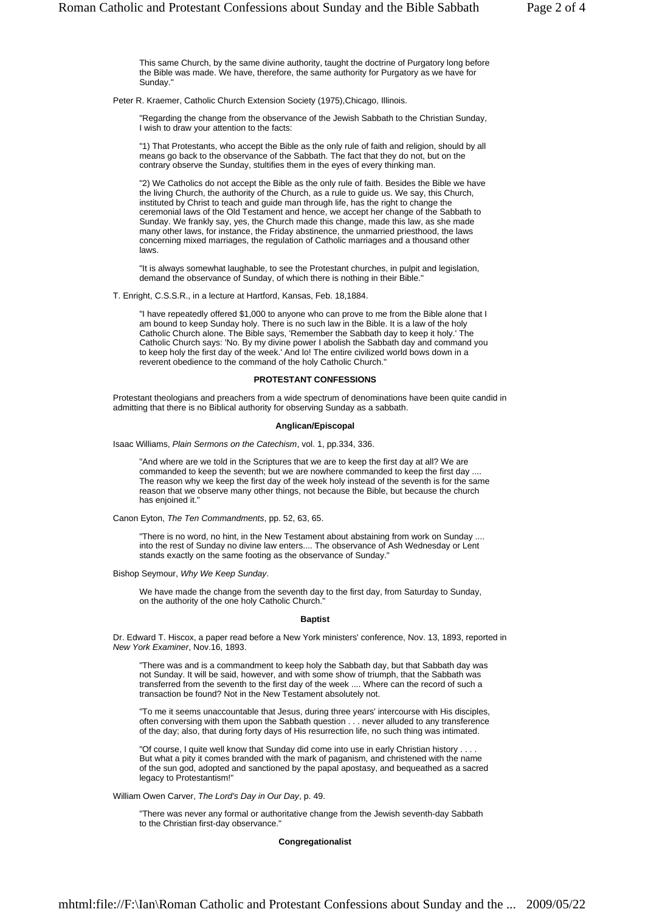This same Church, by the same divine authority, taught the doctrine of Purgatory long before the Bible was made. We have, therefore, the same authority for Purgatory as we have for Sunday."

Peter R. Kraemer, Catholic Church Extension Society (1975),Chicago, Illinois.

"Regarding the change from the observance of the Jewish Sabbath to the Christian Sunday, I wish to draw your attention to the facts:

"1) That Protestants, who accept the Bible as the only rule of faith and religion, should by all means go back to the observance of the Sabbath. The fact that they do not, but on the contrary observe the Sunday, stultifies them in the eyes of every thinking man.

"2) We Catholics do not accept the Bible as the only rule of faith. Besides the Bible we have the living Church, the authority of the Church, as a rule to guide us. We say, this Church, instituted by Christ to teach and guide man through life, has the right to change the ceremonial laws of the Old Testament and hence, we accept her change of the Sabbath to Sunday. We frankly say, yes, the Church made this change, made this law, as she made many other laws, for instance, the Friday abstinence, the unmarried priesthood, the laws concerning mixed marriages, the regulation of Catholic marriages and a thousand other laws.

"It is always somewhat laughable, to see the Protestant churches, in pulpit and legislation, demand the observance of Sunday, of which there is nothing in their Bible."

T. Enright, C.S.S.R., in a lecture at Hartford, Kansas, Feb. 18,1884.

"I have repeatedly offered \$1,000 to anyone who can prove to me from the Bible alone that I am bound to keep Sunday holy. There is no such law in the Bible. It is a law of the holy Catholic Church alone. The Bible says, 'Remember the Sabbath day to keep it holy.' The Catholic Church says: 'No. By my divine power I abolish the Sabbath day and command you to keep holy the first day of the week.' And lo! The entire civilized world bows down in a reverent obedience to the command of the holy Catholic Church."

### **PROTESTANT CONFESSIONS**

Protestant theologians and preachers from a wide spectrum of denominations have been quite candid in admitting that there is no Biblical authority for observing Sunday as a sabbath.

## **Anglican/Episcopal**

Isaac Williams, *Plain Sermons on the Catechism*, vol. 1, pp.334, 336.

"And where are we told in the Scriptures that we are to keep the first day at all? We are commanded to keep the seventh; but we are nowhere commanded to keep the first day .... The reason why we keep the first day of the week holy instead of the seventh is for the same reason that we observe many other things, not because the Bible, but because the church has enjoined it."

Canon Eyton, *The Ten Commandments*, pp. 52, 63, 65.

"There is no word, no hint, in the New Testament about abstaining from work on Sunday .... into the rest of Sunday no divine law enters.... The observance of Ash Wednesday or Lent stands exactly on the same footing as the observance of Sunday."

Bishop Seymour, *Why We Keep Sunday*.

We have made the change from the seventh day to the first day, from Saturday to Sunday, on the authority of the one holy Catholic Church."

### **Baptist**

Dr. Edward T. Hiscox, a paper read before a New York ministers' conference, Nov. 13, 1893, reported in *New York Examiner*, Nov.16, 1893.

"There was and is a commandment to keep holy the Sabbath day, but that Sabbath day was not Sunday. It will be said, however, and with some show of triumph, that the Sabbath was transferred from the seventh to the first day of the week .... Where can the record of such a transaction be found? Not in the New Testament absolutely not.

"To me it seems unaccountable that Jesus, during three years' intercourse with His disciples, often conversing with them upon the Sabbath question . . . never alluded to any transference of the day; also, that during forty days of His resurrection life, no such thing was intimated.

"Of course, I quite well know that Sunday did come into use in early Christian history . . . . But what a pity it comes branded with the mark of paganism, and christened with the name of the sun god, adopted and sanctioned by the papal apostasy, and bequeathed as a sacred legacy to Protestantism!"

William Owen Carver, *The Lord's Day in Our Day*, p. 49.

"There was never any formal or authoritative change from the Jewish seventh-day Sabbath to the Christian first-day observance."

### **Congregationalist**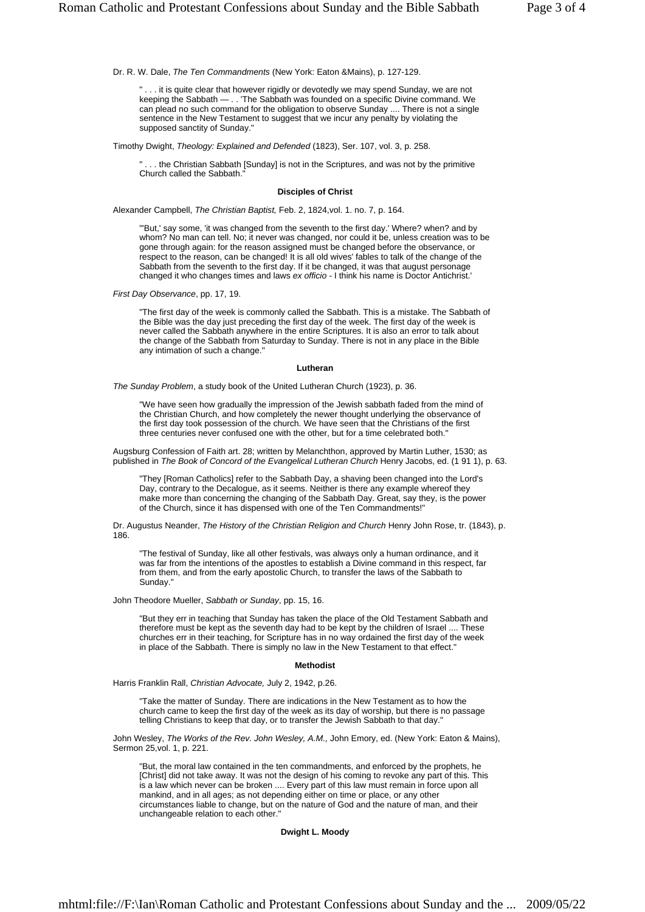Dr. R. W. Dale, *The Ten Commandments* (New York: Eaton &Mains), p. 127-129.

"... it is quite clear that however rigidly or devotedly we may spend Sunday, we are not keeping the Sabbath — . . 'The Sabbath was founded on a specific Divine command. We can plead no such command for the obligation to observe Sunday .... There is not a single sentence in the New Testament to suggest that we incur any penalty by violating the supposed sanctity of Sunday.

Timothy Dwight, *Theology: Explained and Defended* (1823), Ser. 107, vol. 3, p. 258.

.. the Christian Sabbath [Sunday] is not in the Scriptures, and was not by the primitive Church called the Sabbath."

#### **Disciples of Christ**

Alexander Campbell, *The Christian Baptist,* Feb. 2, 1824,vol. 1. no. 7, p. 164.

"'But,' say some, 'it was changed from the seventh to the first day.' Where? when? and by whom? No man can tell. No; it never was changed, nor could it be, unless creation was to be gone through again: for the reason assigned must be changed before the observance, or respect to the reason, can be changed! It is all old wives' fables to talk of the change of the Sabbath from the seventh to the first day. If it be changed, it was that august personage changed it who changes times and laws *ex officio -* I think his name is Doctor Antichrist.'

*First Day Observance*, pp. 17, 19.

"The first day of the week is commonly called the Sabbath. This is a mistake. The Sabbath of the Bible was the day just preceding the first day of the week. The first day of the week is never called the Sabbath anywhere in the entire Scriptures. It is also an error to talk about the change of the Sabbath from Saturday to Sunday. There is not in any place in the Bible any intimation of such a change."

### **Lutheran**

*The Sunday Problem*, a study book of the United Lutheran Church (1923), p. 36.

"We have seen how gradually the impression of the Jewish sabbath faded from the mind of the Christian Church, and how completely the newer thought underlying the observance of the first day took possession of the church. We have seen that the Christians of the first three centuries never confused one with the other, but for a time celebrated both."

Augsburg Confession of Faith art. 28; written by Melanchthon, approved by Martin Luther, 1530; as published in *The Book of Concord of the Evangelical Lutheran Church* Henry Jacobs, ed. (1 91 1), p. 63.

"They [Roman Catholics] refer to the Sabbath Day, a shaving been changed into the Lord's Day, contrary to the Decalogue, as it seems. Neither is there any example whereof they make more than concerning the changing of the Sabbath Day. Great, say they, is the power of the Church, since it has dispensed with one of the Ten Commandments!"

Dr. Augustus Neander, *The History of the Christian Religion and Church* Henry John Rose, tr. (1843), p. 186.

"The festival of Sunday, like all other festivals, was always only a human ordinance, and it was far from the intentions of the apostles to establish a Divine command in this respect, far from them, and from the early apostolic Church, to transfer the laws of the Sabbath to Sunday.

John Theodore Mueller, *Sabbath or Sunday*, pp. 15, 16.

"But they err in teaching that Sunday has taken the place of the Old Testament Sabbath and therefore must be kept as the seventh day had to be kept by the children of Israel .... These churches err in their teaching, for Scripture has in no way ordained the first day of the week in place of the Sabbath. There is simply no law in the New Testament to that effect."

#### **Methodist**

Harris Franklin Rall, *Christian Advocate,* July 2, 1942, p.26.

"Take the matter of Sunday. There are indications in the New Testament as to how the church came to keep the first day of the week as its day of worship, but there is no passage telling Christians to keep that day, or to transfer the Jewish Sabbath to that day."

John Wesley, *The Works of the Rev. John Wesley, A.M.,* John Emory, ed. (New York: Eaton & Mains), Sermon 25,vol. 1, p. 221.

"But, the moral law contained in the ten commandments, and enforced by the prophets, he [Christ] did not take away. It was not the design of his coming to revoke any part of this. This is a law which never can be broken .... Every part of this law must remain in force upon all mankind, and in all ages; as not depending either on time or place, or any other circumstances liable to change, but on the nature of God and the nature of man, and their unchangeable relation to each other."

### **Dwight L. Moody**